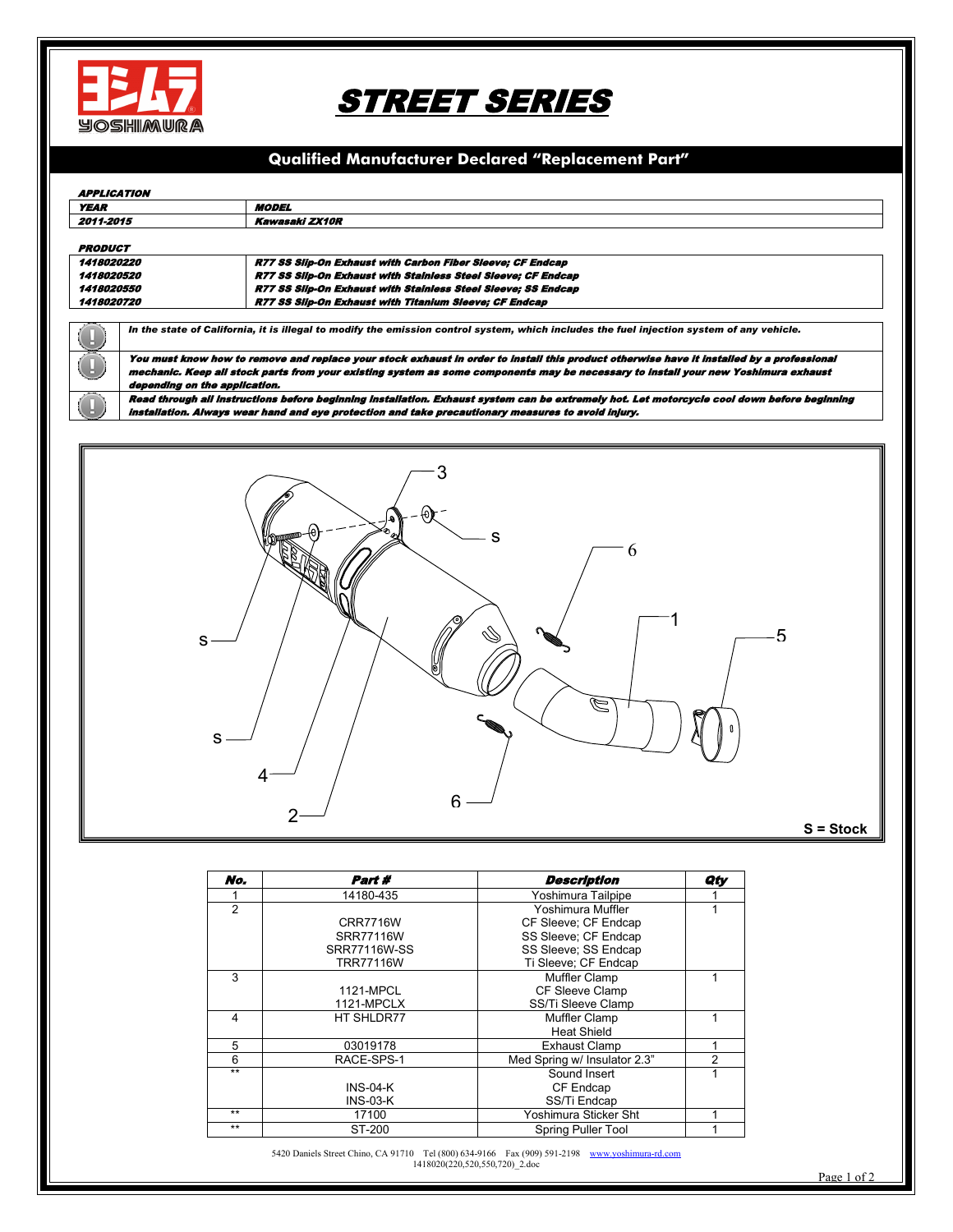

# STREET SERIES

# **Qualified Manufacturer Declared "Replacement Part"**

#### APPLICATION

| <b>YEAR</b>              |                                                                                                                                           | <b>MODEL</b>                                                                                                                                |  |  |  |
|--------------------------|-------------------------------------------------------------------------------------------------------------------------------------------|---------------------------------------------------------------------------------------------------------------------------------------------|--|--|--|
| 2011-2015                |                                                                                                                                           | Kawasaki ZX10R                                                                                                                              |  |  |  |
|                          |                                                                                                                                           |                                                                                                                                             |  |  |  |
| <b>PRODUCT</b>           |                                                                                                                                           |                                                                                                                                             |  |  |  |
| 1418020220               |                                                                                                                                           | R77 SS Silp-On Exhaust with Carbon Fiber Sleeve: CF Endcap                                                                                  |  |  |  |
| <i><b>1418020520</b></i> |                                                                                                                                           | R77 SS Silp-On Exhaust with Stainless Steel Sleeve; CF Endcap                                                                               |  |  |  |
| <i><b>1418020550</b></i> |                                                                                                                                           | R77 SS Silp-On Exhaust with Stainless Steel Sleeve: SS Endcap                                                                               |  |  |  |
| 1418020720               |                                                                                                                                           | <b>R77 SS Silp-On Exhaust with Titanium Sleeve: CF Endcap</b>                                                                               |  |  |  |
|                          |                                                                                                                                           |                                                                                                                                             |  |  |  |
|                          | In the state of California, it is illegal to modify the emission control system, which includes the fuel injection system of any vehicle. |                                                                                                                                             |  |  |  |
|                          | You must know how to remove and replace your stock exhaust in order to install this product otherwise have it installed by a professional |                                                                                                                                             |  |  |  |
|                          | mechanic. Keep all stock parts from your existing system as some components may be necessary to install your new Yoshimura exhaust        |                                                                                                                                             |  |  |  |
|                          | depending on the application.                                                                                                             |                                                                                                                                             |  |  |  |
|                          |                                                                                                                                           | Read through all instructions before beginning installation. Exhaust system can be extremely hot. Let motorcycle cool down before beginning |  |  |  |
|                          | Installation. Always wear hand and eye protection and take precautionary measures to avoid inlury.                                        |                                                                                                                                             |  |  |  |



| No.  | Part #           | <b>Description</b>           | Qty |
|------|------------------|------------------------------|-----|
|      | 14180-435        | Yoshimura Tailpipe           |     |
| 2    |                  | Yoshimura Muffler            |     |
|      | <b>CRR7716W</b>  | CF Sleeve: CF Endcap         |     |
|      | SRR77116W        | SS Sleeve: CF Endcap         |     |
|      | SRR77116W-SS     | SS Sleeve: SS Endcap         |     |
|      | <b>TRR77116W</b> | Ti Sleeve; CF Endcap         |     |
| 3    |                  | Muffler Clamp                |     |
|      | 1121-MPCL        | CF Sleeve Clamp              |     |
|      | 1121-MPCLX       | SS/Ti Sleeve Clamp           |     |
| 4    | HT SHLDR77       | Muffler Clamp                |     |
|      |                  | <b>Heat Shield</b>           |     |
| 5    | 03019178         | <b>Exhaust Clamp</b>         |     |
| 6    | RACE-SPS-1       | Med Spring w/ Insulator 2.3" | 2   |
| $**$ |                  | Sound Insert                 |     |
|      | $INS-04-K$       | CF Endcap                    |     |
|      | INS 03 K         | SS/Ti Endcap                 |     |
| $**$ | 17100            | Yoshimura Sticker Sht        |     |
| $**$ | ST-200           | <b>Spring Puller Tool</b>    |     |

5420 Daniels Street Chino, CA 91710 Tel (800) 634-9166 Fax (909) 591-2198 [www.yoshimura-rd.com](http://www.yoshimura-rd.com/) 1418020(220,520,550,720)\_2.doc